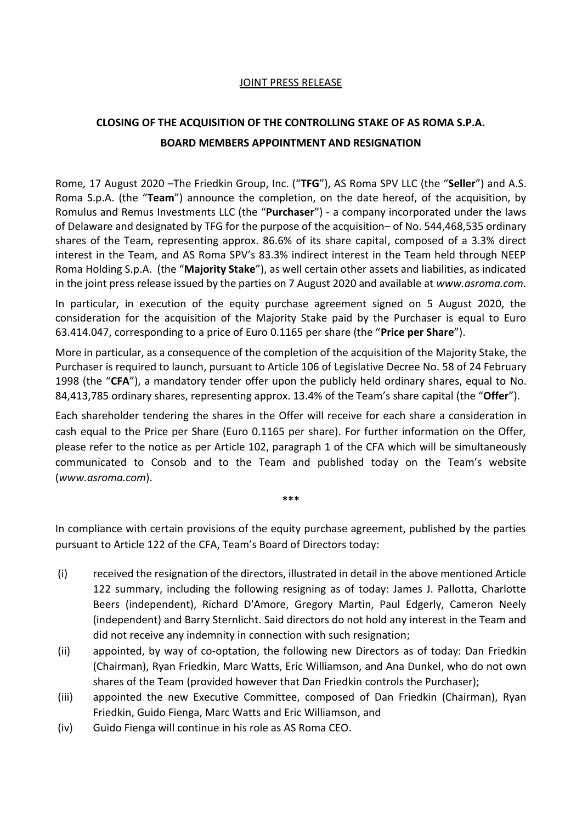#### JOINT PRESS RELEASE

# **CLOSING OF THE ACQUISITION OF THE CONTROLLING STAKE OF AS ROMA S.P.A. BOARD MEMBERS APPOINTMENT AND RESIGNATION**

Rome*,* 17 August 2020 –The Friedkin Group, Inc. ("**TFG**"), AS Roma SPV LLC (the "**Seller**") and A.S. Roma S.p.A. (the "**Team**") announce the completion, on the date hereof, of the acquisition, by Romulus and Remus Investments LLC (the "**Purchaser**") - a company incorporated under the laws of Delaware and designated by TFG for the purpose of the acquisition– of No. 544,468,535 ordinary shares of the Team, representing approx. 86.6% of its share capital, composed of a 3.3% direct interest in the Team, and AS Roma SPV's 83.3% indirect interest in the Team held through NEEP Roma Holding S.p.A. (the "**Majority Stake**"), as well certain other assets and liabilities, as indicated in the joint press release issued by the parties on 7 August 2020 and available at *www.asroma.com*.

In particular, in execution of the equity purchase agreement signed on 5 August 2020, the consideration for the acquisition of the Majority Stake paid by the Purchaser is equal to Euro 63.414.047, corresponding to a price of Euro 0.1165 per share (the "**Price per Share**").

More in particular, as a consequence of the completion of the acquisition of the Majority Stake, the Purchaser is required to launch, pursuant to Article 106 of Legislative Decree No. 58 of 24 February 1998 (the "**CFA**"), a mandatory tender offer upon the publicly held ordinary shares, equal to No. 84,413,785 ordinary shares, representing approx. 13.4% of the Team's share capital (the "**Offer**").

Each shareholder tendering the shares in the Offer will receive for each share a consideration in cash equal to the Price per Share (Euro 0.1165 per share). For further information on the Offer, please refer to the notice as per Article 102, paragraph 1 of the CFA which will be simultaneously communicated to Consob and to the Team and published today on the Team's website (*www.asroma.com*).

In compliance with certain provisions of the equity purchase agreement, published by the parties pursuant to Article 122 of the CFA, Team's Board of Directors today:

**\*\*\***

- (i) received the resignation of the directors, illustrated in detail in the above mentioned Article 122 summary, including the following resigning as of today: James J. Pallotta, Charlotte Beers (independent), Richard D'Amore, Gregory Martin, Paul Edgerly, Cameron Neely (independent) and Barry Sternlicht. Said directors do not hold any interest in the Team and did not receive any indemnity in connection with such resignation;
- (ii) appointed, by way of co-optation, the following new Directors as of today: Dan Friedkin (Chairman), Ryan Friedkin, Marc Watts, Eric Williamson, and Ana Dunkel, who do not own shares of the Team (provided however that Dan Friedkin controls the Purchaser);
- (iii) appointed the new Executive Committee, composed of Dan Friedkin (Chairman), Ryan Friedkin, Guido Fienga, Marc Watts and Eric Williamson, and
- (iv) Guido Fienga will continue in his role as AS Roma CEO.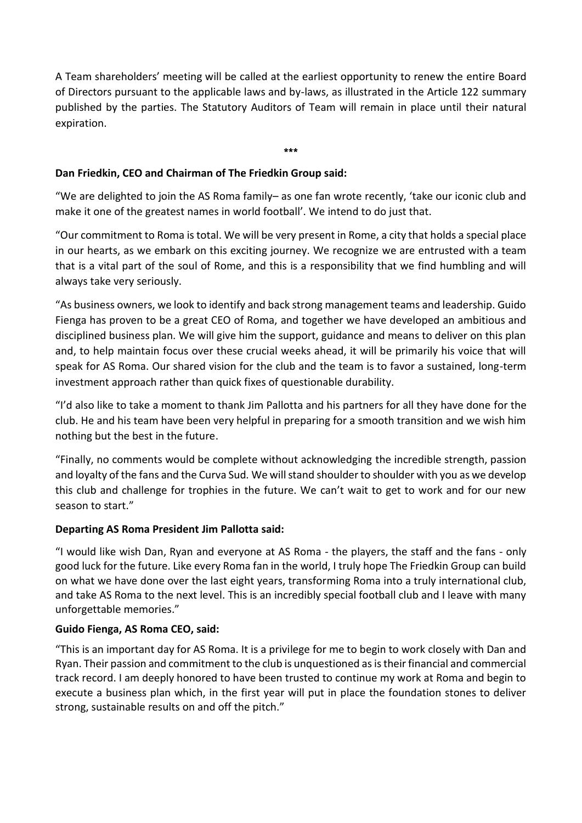A Team shareholders' meeting will be called at the earliest opportunity to renew the entire Board of Directors pursuant to the applicable laws and by-laws, as illustrated in the Article 122 summary published by the parties. The Statutory Auditors of Team will remain in place until their natural expiration.

\*\*\*

## **Dan Friedkin, CEO and Chairman of The Friedkin Group said:**

"We are delighted to join the AS Roma family– as one fan wrote recently, 'take our iconic club and make it one of the greatest names in world football'. We intend to do just that.

"Our commitment to Roma is total. We will be very present in Rome, a city that holds a special place in our hearts, as we embark on this exciting journey. We recognize we are entrusted with a team that is a vital part of the soul of Rome, and this is a responsibility that we find humbling and will always take very seriously.

"As business owners, we look to identify and back strong management teams and leadership. Guido Fienga has proven to be a great CEO of Roma, and together we have developed an ambitious and disciplined business plan. We will give him the support, guidance and means to deliver on this plan and, to help maintain focus over these crucial weeks ahead, it will be primarily his voice that will speak for AS Roma. Our shared vision for the club and the team is to favor a sustained, long-term investment approach rather than quick fixes of questionable durability.

"I'd also like to take a moment to thank Jim Pallotta and his partners for all they have done for the club. He and his team have been very helpful in preparing for a smooth transition and we wish him nothing but the best in the future.

"Finally, no comments would be complete without acknowledging the incredible strength, passion and loyalty of the fans and the Curva Sud*.* We will stand shoulder to shoulder with you as we develop this club and challenge for trophies in the future. We can't wait to get to work and for our new season to start."

#### **Departing AS Roma President Jim Pallotta said:**

"I would like wish Dan, Ryan and everyone at AS Roma - the players, the staff and the fans - only good luck for the future. Like every Roma fan in the world, I truly hope The Friedkin Group can build on what we have done over the last eight years, transforming Roma into a truly international club, and take AS Roma to the next level. This is an incredibly special football club and I leave with many unforgettable memories."

#### **Guido Fienga, AS Roma CEO, said:**

"This is an important day for AS Roma. It is a privilege for me to begin to work closely with Dan and Ryan. Their passion and commitment to the club is unquestioned as is their financial and commercial track record. I am deeply honored to have been trusted to continue my work at Roma and begin to execute a business plan which, in the first year will put in place the foundation stones to deliver strong, sustainable results on and off the pitch."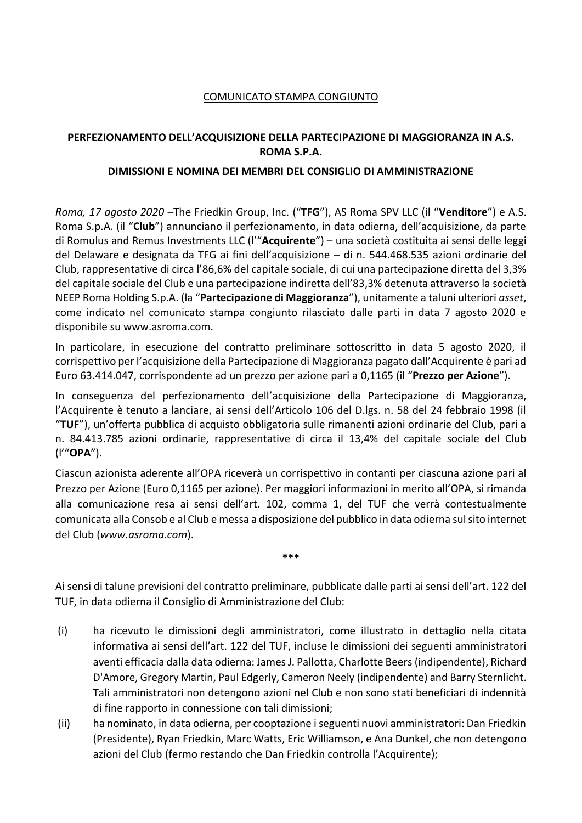### COMUNICATO STAMPA CONGIUNTO

### **PERFEZIONAMENTO DELL'ACQUISIZIONE DELLA PARTECIPAZIONE DI MAGGIORANZA IN A.S. ROMA S.P.A.**

#### **DIMISSIONI E NOMINA DEI MEMBRI DEL CONSIGLIO DI AMMINISTRAZIONE**

*Roma, 17 agosto 2020* –The Friedkin Group, Inc. ("**TFG**"), AS Roma SPV LLC (il "**Venditore**") e A.S. Roma S.p.A. (il "**Club**") annunciano il perfezionamento, in data odierna, dell'acquisizione, da parte di Romulus and Remus Investments LLC (l'"**Acquirente**") – una società costituita ai sensi delle leggi del Delaware e designata da TFG ai fini dell'acquisizione – di n. 544.468.535 azioni ordinarie del Club, rappresentative di circa l'86,6% del capitale sociale, di cui una partecipazione diretta del 3,3% del capitale sociale del Club e una partecipazione indiretta dell'83,3% detenuta attraverso la società NEEP Roma Holding S.p.A. (la "**Partecipazione di Maggioranza**"), unitamente a taluni ulteriori *asset*, come indicato nel comunicato stampa congiunto rilasciato dalle parti in data 7 agosto 2020 e disponibile su www.asroma.com.

In particolare, in esecuzione del contratto preliminare sottoscritto in data 5 agosto 2020, il corrispettivo per l'acquisizione della Partecipazione di Maggioranza pagato dall'Acquirente è pari ad Euro 63.414.047, corrispondente ad un prezzo per azione pari a 0,1165 (il "**Prezzo per Azione**").

In conseguenza del perfezionamento dell'acquisizione della Partecipazione di Maggioranza, l'Acquirente è tenuto a lanciare, ai sensi dell'Articolo 106 del D.lgs. n. 58 del 24 febbraio 1998 (il "**TUF**"), un'offerta pubblica di acquisto obbligatoria sulle rimanenti azioni ordinarie del Club, pari a n. 84.413.785 azioni ordinarie, rappresentative di circa il 13,4% del capitale sociale del Club (l'"**OPA**").

Ciascun azionista aderente all'OPA riceverà un corrispettivo in contanti per ciascuna azione pari al Prezzo per Azione (Euro 0,1165 per azione). Per maggiori informazioni in merito all'OPA, si rimanda alla comunicazione resa ai sensi dell'art. 102, comma 1, del TUF che verrà contestualmente comunicata alla Consob e al Club e messa a disposizione del pubblico in data odierna sul sito internet del Club (*www.asroma.com*).

Ai sensi di talune previsioni del contratto preliminare, pubblicate dalle parti ai sensi dell'art. 122 del TUF, in data odierna il Consiglio di Amministrazione del Club:

**\*\*\***

- (i) ha ricevuto le dimissioni degli amministratori, come illustrato in dettaglio nella citata informativa ai sensi dell'art. 122 del TUF, incluse le dimissioni dei seguenti amministratori aventi efficacia dalla data odierna: James J. Pallotta, Charlotte Beers (indipendente), Richard D'Amore, Gregory Martin, Paul Edgerly, Cameron Neely (indipendente) and Barry Sternlicht. Tali amministratori non detengono azioni nel Club e non sono stati beneficiari di indennità di fine rapporto in connessione con tali dimissioni;
- (ii) ha nominato, in data odierna, per cooptazione i seguenti nuovi amministratori: Dan Friedkin (Presidente), Ryan Friedkin, Marc Watts, Eric Williamson, e Ana Dunkel, che non detengono azioni del Club (fermo restando che Dan Friedkin controlla l'Acquirente);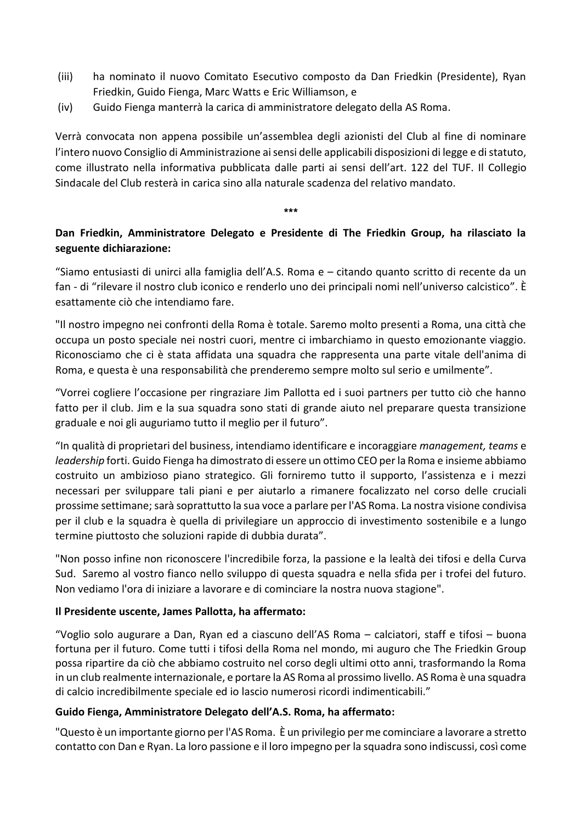- (iii) ha nominato il nuovo Comitato Esecutivo composto da Dan Friedkin (Presidente), Ryan Friedkin, Guido Fienga, Marc Watts e Eric Williamson, e
- (iv) Guido Fienga manterrà la carica di amministratore delegato della AS Roma.

Verrà convocata non appena possibile un'assemblea degli azionisti del Club al fine di nominare l'intero nuovo Consiglio di Amministrazione ai sensi delle applicabili disposizioni di legge e di statuto, come illustrato nella informativa pubblicata dalle parti ai sensi dell'art. 122 del TUF. Il Collegio Sindacale del Club resterà in carica sino alla naturale scadenza del relativo mandato.

#### \*\*\*

# **Dan Friedkin, Amministratore Delegato e Presidente di The Friedkin Group, ha rilasciato la seguente dichiarazione:**

"Siamo entusiasti di unirci alla famiglia dell'A.S. Roma e – citando quanto scritto di recente da un fan - di "rilevare il nostro club iconico e renderlo uno dei principali nomi nell'universo calcistico". È esattamente ciò che intendiamo fare.

"Il nostro impegno nei confronti della Roma è totale. Saremo molto presenti a Roma, una città che occupa un posto speciale nei nostri cuori, mentre ci imbarchiamo in questo emozionante viaggio. Riconosciamo che ci è stata affidata una squadra che rappresenta una parte vitale dell'anima di Roma, e questa è una responsabilità che prenderemo sempre molto sul serio e umilmente".

"Vorrei cogliere l'occasione per ringraziare Jim Pallotta ed i suoi partners per tutto ciò che hanno fatto per il club. Jim e la sua squadra sono stati di grande aiuto nel preparare questa transizione graduale e noi gli auguriamo tutto il meglio per il futuro".

"In qualità di proprietari del business, intendiamo identificare e incoraggiare *management, teams* e *leadership* forti. Guido Fienga ha dimostrato di essere un ottimo CEO per la Roma e insieme abbiamo costruito un ambizioso piano strategico. Gli forniremo tutto il supporto, l'assistenza e i mezzi necessari per sviluppare tali piani e per aiutarlo a rimanere focalizzato nel corso delle cruciali prossime settimane; sarà soprattutto la sua voce a parlare per l'AS Roma. La nostra visione condivisa per il club e la squadra è quella di privilegiare un approccio di investimento sostenibile e a lungo termine piuttosto che soluzioni rapide di dubbia durata".

"Non posso infine non riconoscere l'incredibile forza, la passione e la lealtà dei tifosi e della Curva Sud. Saremo al vostro fianco nello sviluppo di questa squadra e nella sfida per i trofei del futuro. Non vediamo l'ora di iniziare a lavorare e di cominciare la nostra nuova stagione".

#### **Il Presidente uscente, James Pallotta, ha affermato:**

"Voglio solo augurare a Dan, Ryan ed a ciascuno dell'AS Roma – calciatori, staff e tifosi – buona fortuna per il futuro. Come tutti i tifosi della Roma nel mondo, mi auguro che The Friedkin Group possa ripartire da ciò che abbiamo costruito nel corso degli ultimi otto anni, trasformando la Roma in un club realmente internazionale, e portare la AS Roma al prossimo livello. AS Roma è una squadra di calcio incredibilmente speciale ed io lascio numerosi ricordi indimenticabili."

#### **Guido Fienga, Amministratore Delegato dell'A.S. Roma, ha affermato:**

"Questo è un importante giorno per l'AS Roma. È un privilegio per me cominciare a lavorare a stretto contatto con Dan e Ryan. La loro passione e il loro impegno per la squadra sono indiscussi, così come